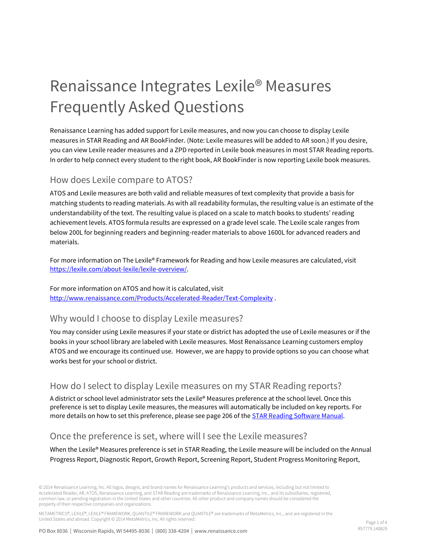# Renaissance Integrates Lexile® Measures Frequently Asked Questions

Renaissance Learning has added support for Lexile measures, and now you can choose to display Lexile measures in STAR Reading and AR BookFinder. (Note: Lexile measures will be added to AR soon.) If you desire, you can view Lexile reader measures and a ZPD reported in Lexile book measures in most STAR Reading reports. In order to help connect every student to the right book, AR BookFinder is now reporting Lexile book measures.

## How does Lexile compare to ATOS?

ATOS and Lexile measures are both valid and reliable measures of text complexity that provide a basis for matching students to reading materials. As with all readability formulas, the resulting value is an estimate of the understandability of the text. The resulting value is placed on a scale to match books to students' reading achievement levels. ATOS formula results are expressed on a grade level scale. The Lexile scale ranges from below 200L for beginning readers and beginning-reader materials to above 1600L for advanced readers and materials.

For more information on The Lexile® Framework for Reading and how Lexile measures are calculated, visit [https://lexile.com/about-lexile/lexile-overview/.](https://lexile.com/about-lexile/lexile-overview/) 

For more information on ATOS and how it is calculated, visit <http://www.renaissance.com/Products/Accelerated-Reader/Text-Complexity> .

#### Why would I choose to display Lexile measures?

You may consider using Lexile measures if your state or district has adopted the use of Lexile measures or if the books in your school library are labeled with Lexile measures. Most Renaissance Learning customers employ ATOS and we encourage its continued use. However, we are happy to provide options so you can choose what works best for your school or district.

#### How do I select to display Lexile measures on my STAR Reading reports?

A district or school level administrator sets the Lexile® Measures preference at the school level. Once this preference is set to display Lexile measures, the measures will automatically be included on key reports. For more details on how to set this preference, please see page 206 of the **STAR Reading Software Manual**.

#### Once the preference is set, where will I see the Lexile measures?

When the Lexile® Measures preference is set in STAR Reading, the Lexile measure will be included on the Annual Progress Report, Diagnostic Report, Growth Report, Screening Report, Student Progress Monitoring Report,

© 2014 Renaissance Learning, Inc. All logos, designs, and brand names for Renaissance Learning's products and services, including but not limited to Accelerated Reader, AR, ATOS, Renaissance Learning, and STAR Reading are trademarks of Renaissance Learning, Inc., and its subsidiaries, registered, common law, or pending registration in the United States and other countries. All other product and company names should be considered the property of their respective companies and organizations.

METAMETRICS®, LEXILE®, LEXILE® FRAMEWORK, QUANTILE® FRAMEWORK and QUANTILE® are trademarks of MetaMetrics, Inc., and are registered in the United States and abroad. Copyright © 2014 MetaMetrics, Inc. All rights reserved.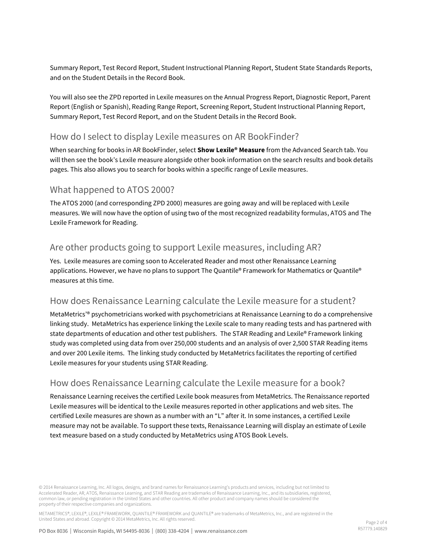Summary Report, Test Record Report, Student Instructional Planning Report, Student State Standards Reports, and on the Student Details in the Record Book.

You will also see the ZPD reported in Lexile measures on the Annual Progress Report, Diagnostic Report, Parent Report (English or Spanish), Reading Range Report, Screening Report, Student Instructional Planning Report, Summary Report, Test Record Report, and on the Student Details in the Record Book.

#### How do I select to display Lexile measures on AR BookFinder?

When searching for books in AR BookFinder, select **Show Lexile® Measure** from the Advanced Search tab. You will then see the book's Lexile measure alongside other book information on the search results and book details pages. This also allows you to search for books within a specific range of Lexile measures.

#### What happened to ATOS 2000?

The ATOS 2000 (and corresponding ZPD 2000) measures are going away and will be replaced with Lexile measures. We will now have the option of using two of the most recognized readability formulas, ATOS and The Lexile Framework for Reading.

#### Are other products going to support Lexile measures, including AR?

Yes. Lexile measures are coming soon to Accelerated Reader and most other Renaissance Learning applications. However, we have no plans to support The Quantile® Framework for Mathematics or Quantile® measures at this time.

#### How does Renaissance Learning calculate the Lexile measure for a student?

MetaMetrics'® psychometricians worked with psychometricians at Renaissance Learning to do a comprehensive linking study. MetaMetrics has experience linking the Lexile scale to many reading tests and has partnered with state departments of education and other test publishers. The STAR Reading and Lexile® Framework linking study was completed using data from over 250,000 students and an analysis of over 2,500 STAR Reading items and over 200 Lexile items. The linking study conducted by MetaMetrics facilitates the reporting of certified Lexile measures for your students using STAR Reading.

#### How does Renaissance Learning calculate the Lexile measure for a book?

Renaissance Learning receives the certified Lexile book measures from MetaMetrics. The Renaissance reported Lexile measures will be identical to the Lexile measures reported in other applications and web sites. The certified Lexile measures are shown as a number with an "L" after it. In some instances, a certified Lexile measure may not be available. To support these texts, Renaissance Learning will display an estimate of Lexile text measure based on a study conducted by MetaMetrics using ATOS Book Levels.

© 2014 Renaissance Learning, Inc. All logos, designs, and brand names for Renaissance Learning's products and services, including but not limited to Accelerated Reader, AR, ATOS, Renaissance Learning, and STAR Reading are trademarks of Renaissance Learning, Inc., and its subsidiaries, registered, common law, or pending registration in the United States and other countries. All other product and company names should be considered the property of their respective companies and organizations.

METAMETRICS®, LEXILE®, LEXILE® FRAMEWORK, OUANTILE® FRAMEWORK and OUANTILE® are trademarks of MetaMetrics, Inc., and are registered in the United States and abroad. Copyright © 2014 MetaMetrics, Inc. All rights reserved.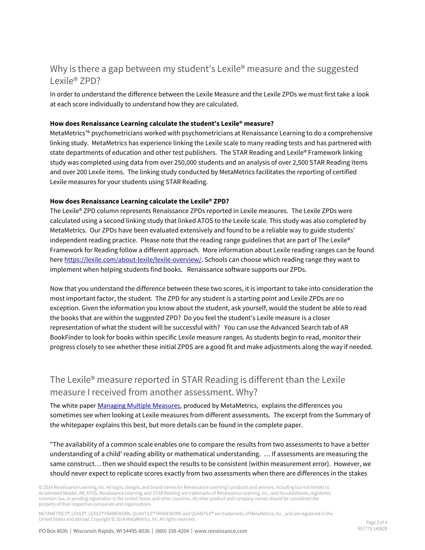## Why is there a gap between my student's Lexile<sup>®</sup> measure and the suggested Lexile® ZPD?

In order to understand the difference between the Lexile Measure and the Lexile ZPDs we must first take a look at each score individually to understand how they are calculated.

#### **How does Renaissance Learning calculate the student's Lexile® measure?**

MetaMetrics'® psychometricians worked with psychometricians at Renaissance Learning to do a comprehensive linking study. MetaMetrics has experience linking the Lexile scale to many reading tests and has partnered with state departments of education and other test publishers. The STAR Reading and Lexile® Framework linking study was completed using data from over 250,000 students and an analysis of over 2,500 STAR Reading items and over 200 Lexile items. The linking study conducted by MetaMetrics facilitates the reporting of certified Lexile measures for your students using STAR Reading.

#### **How does Renaissance Learning calculate the Lexile® ZPD?**

The Lexile® ZPD column represents Renaissance ZPDs reported in Lexile measures. The Lexile ZPDs were calculated using a second linking study that linked ATOS to the Lexile scale. This study was also completed by MetaMetrics. Our ZPDs have been evaluated extensively and found to be a reliable way to guide students' independent reading practice. Please note that the reading range guidelines that are part of The Lexile® Framework for Reading follow a different approach. More information about Lexile reading ranges can be found here [https://lexile.com/about-lexile/lexile-overview/.](https://lexile.com/about-lexile/lexile-overview/) Schools can choose which reading range they want to implement when helping students find books. Renaissance software supports our ZPDs.

Now that you understand the difference between these two scores, it is important to take into consideration the most important factor, the student. The ZPD for any student is a starting point and Lexile ZPDs are no exception. Given the information you know about the student, ask yourself, would the student be able to read the books that are within the suggested ZPD? Do you feel the student's Lexile measure is a closer representation of what the student will be successful with? You can use the Advanced Search tab of AR BookFinder to look for books within specific Lexile measure ranges. As students begin to read, monitor their progress closely to see whether these initial ZPDS are a good fit and make adjustments along the way if needed.

## The Lexile® measure reported in STAR Reading is different than the Lexile measure I received from another assessment. Why?

The white pape[r Managing Multiple Measures,](https://cdn.lexile.com/m/uploads/whitepapers/WhitepaperManagingMultipleMeasures_09.pdf) produced by MetaMetrics, explains the differences you sometimes see when looking at Lexile measures from different assessments. The excerpt from the Summary of the whitepaper explains this best, but more details can be found in the complete paper.

"The availability of a common scale enables one to compare the results from two assessments to have a better understanding of a child' reading ability or mathematical understanding. … If assessments are measuring the same construct… then we should expect the results to be consistent (within measurement error). However, we should never expect to replicate scores exactly from two assessments when there are differences in the stakes

© 2014 Renaissance Learning, Inc. All logos, designs, and brand names for Renaissance Learning's products and services, including but not limited to Accelerated Reader, AR, ATOS, Renaissance Learning, and STAR Reading are trademarks of Renaissance Learning, Inc., and its subsidiaries, registered, common law, or pending registration in the United States and other countries. All other product and company names should be considered the property of their respective companies and organizations.

METAMETRICS®, LEXILE®, LEXILE® FRAMEWORK, OUANTILE® FRAMEWORK and OUANTILE® are trademarks of MetaMetrics, Inc., and are registered in the United States and abroad. Copyright © 2014 MetaMetrics, Inc. All rights reserved.